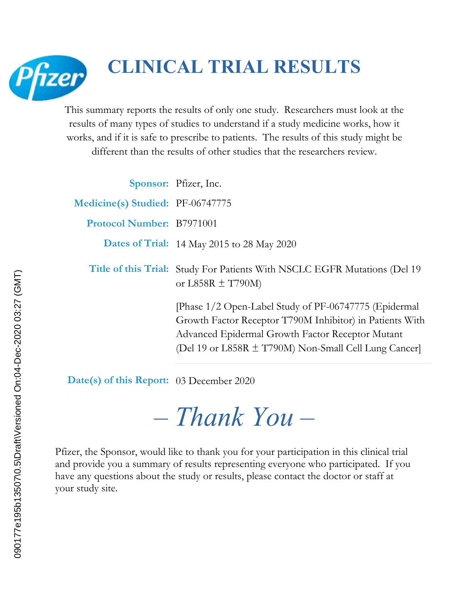

# **CLINICAL TRIAL RESULTS**

This summary reports the results of only one study. Researchers must look at the results of many types of studies to understand if a study medicine works, how it works, and if it is safe to prescribe to patients. The results of this study might be different than the results of other studies that the researchers review.

|                                  | Sponsor: Pfizer, Inc.                                                                                                                                                                                                         |
|----------------------------------|-------------------------------------------------------------------------------------------------------------------------------------------------------------------------------------------------------------------------------|
| Medicine(s) Studied: PF-06747775 |                                                                                                                                                                                                                               |
| Protocol Number: B7971001        |                                                                                                                                                                                                                               |
|                                  | Dates of Trial: 14 May 2015 to 28 May 2020                                                                                                                                                                                    |
|                                  | Title of this Trial: Study For Patients With NSCLC EGFR Mutations (Del 19)<br>or L858R $\pm$ T790M)                                                                                                                           |
|                                  | [Phase 1/2 Open-Label Study of PF-06747775 (Epidermal<br>Growth Factor Receptor T790M Inhibitor) in Patients With<br>Advanced Epidermal Growth Factor Receptor Mutant<br>(Del 19 or L858R ± T790M) Non-Small Cell Lung Cancer |

**Date(s) of this Report:** 03 December 2020

*– Thank You –*

Pfizer, the Sponsor, would like to thank you for your participation in this clinical trial and provide you a summary of results representing everyone who participated. If you have any questions about the study or results, please contact the doctor or staff at your study site.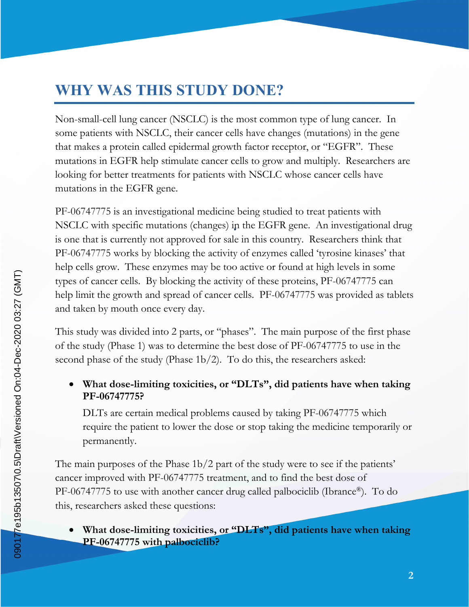## **WHY WAS THIS STUDY DONE?**

Non-small-cell lung cancer (NSCLC) is the most common type of lung cancer. In some patients with NSCLC, their cancer cells have changes (mutations) in the gene that makes a protein called epidermal growth factor receptor, or "EGFR". These mutations in EGFR help stimulate cancer cells to grow and multiply. Researchers are looking for better treatments for patients with NSCLC whose cancer cells have mutations in the EGFR gene.

PF-06747775 is an investigational medicine being studied to treat patients with NSCLC with specific mutations (changes) in the EGFR gene. An investigational drug is one that is currently not approved for sale in this country. Researchers think that PF-06747775 works by blocking the activity of enzymes called 'tyrosine kinases' that help cells grow. These enzymes may be too active or found at high levels in some types of cancer cells. By blocking the activity of these proteins, PF-06747775 can help limit the growth and spread of cancer cells. PF-06747775 was provided as tablets and taken by mouth once every day.

This study was divided into 2 parts, or "phases". The main purpose of the first phase of the study (Phase 1) was to determine the best dose of PF-06747775 to use in the second phase of the study (Phase 1b/2). To do this, the researchers asked:

 **What dose-limiting toxicities, or "DLTs", did patients have when taking PF-06747775?**

DLTs are certain medical problems caused by taking PF-06747775 which require the patient to lower the dose or stop taking the medicine temporarily or permanently.

The main purposes of the Phase 1b/2 part of the study were to see if the patients' cancer improved with PF-06747775 treatment, and to find the best dose of PF-06747775 to use with another cancer drug called palbociclib (Ibrance®). To do this, researchers asked these questions:

 **What dose-limiting toxicities, or "DLTs", did patients have when taking PF-06747775 with palbociclib?**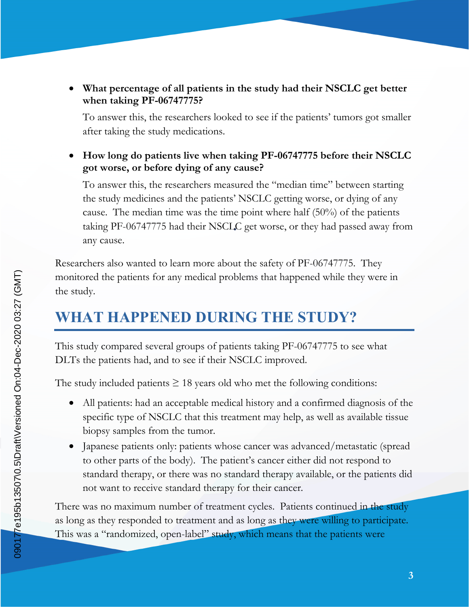**What percentage of all patients in the study had their NSCLC get better when taking PF-06747775?**

To answer this, the researchers looked to see if the patients' tumors got smaller after taking the study medications.

 **How long do patients live when taking PF-06747775 before their NSCLC got worse, or before dying of any cause?**

To answer this, the researchers measured the "median time" between starting the study medicines and the patients' NSCLC getting worse, or dying of any cause. The median time was the time point where half (50%) of the patients taking PF-06747775 had their NSCLC get worse, or they had passed away from any cause.

Researchers also wanted to learn more about the safety of PF-06747775. They monitored the patients for any medical problems that happened while they were in the study.

## **WHAT HAPPENED DURING THE STUDY?**

This study compared several groups of patients taking PF-06747775 to see what DLTs the patients had, and to see if their NSCLC improved.

The study included patients  $\geq 18$  years old who met the following conditions:

- All patients: had an acceptable medical history and a confirmed diagnosis of the specific type of NSCLC that this treatment may help, as well as available tissue biopsy samples from the tumor.
- Japanese patients only: patients whose cancer was advanced/metastatic (spread to other parts of the body). The patient's cancer either did not respond to standard therapy, or there was no standard therapy available, or the patients did not want to receive standard therapy for their cancer.

There was no maximum number of treatment cycles. Patients continued in the study as long as they responded to treatment and as long as they were willing to participate. This was a "randomized, open-label" study, which means that the patients were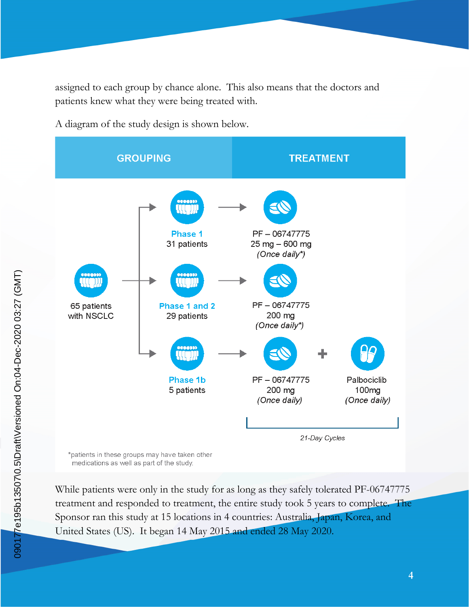assigned to each group by chance alone. This also means that the doctors and patients knew what they were being treated with.

A diagram of the study design is shown below.



medications as well as part of the study.

While patients were only in the study for as long as they safely tolerated PF-06747775 treatment and responded to treatment, the entire study took 5 years to complete. The Sponsor ran this study at 15 locations in 4 countries: Australia, Japan, Korea, and United States (US). It began 14 May 2015 and ended 28 May 2020.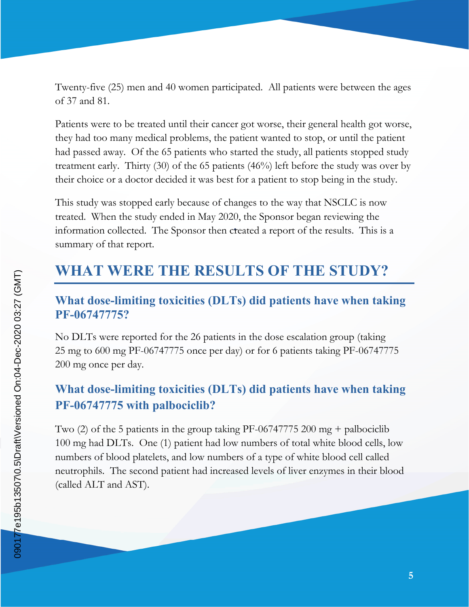Twenty-five (25) men and 40 women participated. All patients were between the ages of 37 and 81.

Patients were to be treated until their cancer got worse, their general health got worse, they had too many medical problems, the patient wanted to stop, or until the patient had passed away. Of the 65 patients who started the study, all patients stopped study treatment early. Thirty (30) of the 65 patients (46%) left before the study was over by their choice or a doctor decided it was best for a patient to stop being in the study.

This study was stopped early because of changes to the way that NSCLC is now treated. When the study ended in May 2020, the Sponsor began reviewing the information collected. The Sponsor then created a report of the results. This is a summary of that report.

### **WHAT WERE THE RESULTS OF THE STUDY?**

#### **What dose-limiting toxicities (DLTs) did patients have when taking PF-06747775?**

No DLTs were reported for the 26 patients in the dose escalation group (taking 25 mg to 600 mg PF-06747775 once per day) or for 6 patients taking PF-06747775 200 mg once per day.

#### **What dose-limiting toxicities (DLTs) did patients have when taking PF-06747775 with palbociclib?**

Two (2) of the 5 patients in the group taking PF-06747775 200 mg + palbociclib 100 mg had DLTs. One (1) patient had low numbers of total white blood cells, low numbers of blood platelets, and low numbers of a type of white blood cell called neutrophils. The second patient had increased levels of liver enzymes in their blood (called ALT and AST).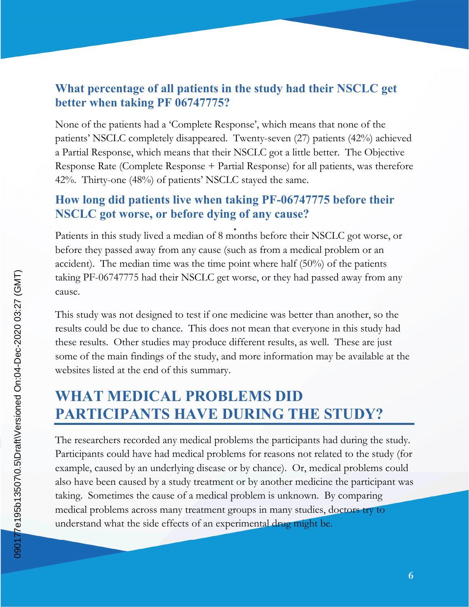#### **What percentage of all patients in the study had their NSCLC get better when taking PF 06747775?**

None of the patients had a 'Complete Response', which means that none of the patients' NSCLC completely disappeared. Twenty-seven (27) patients (42%) achieved a Partial Response, which means that their NSCLC got a little better. The Objective Response Rate (Complete Response + Partial Response) for all patients, was therefore 42%. Thirty-one (48%) of patients' NSCLC stayed the same.

#### **How long did patients live when taking PF-06747775 before their NSCLC got worse, or before dying of any cause?**

Patients in this study lived a median of 8 months before their NSCLC got worse, or before they passed away from any cause (such as from a medical problem or an accident). The median time was the time point where half (50%) of the patients taking PF-06747775 had their NSCLC get worse, or they had passed away from any cause.

This study was not designed to test if one medicine was better than another, so the results could be due to chance. This does not mean that everyone in this study had these results. Other studies may produce different results, as well. These are just some of the main findings of the study, and more information may be available at the websites listed at the end of this summary.

# **WHAT MEDICAL PROBLEMS DID PARTICIPANTS HAVE DURING THE STUDY?**

The researchers recorded any medical problems the participants had during the study. Participants could have had medical problems for reasons not related to the study (for example, caused by an underlying disease or by chance). Or, medical problems could also have been caused by a study treatment or by another medicine the participant was taking. Sometimes the cause of a medical problem is unknown. By comparing medical problems across many treatment groups in many studies, doctors try to understand what the side effects of an experimental drug might be.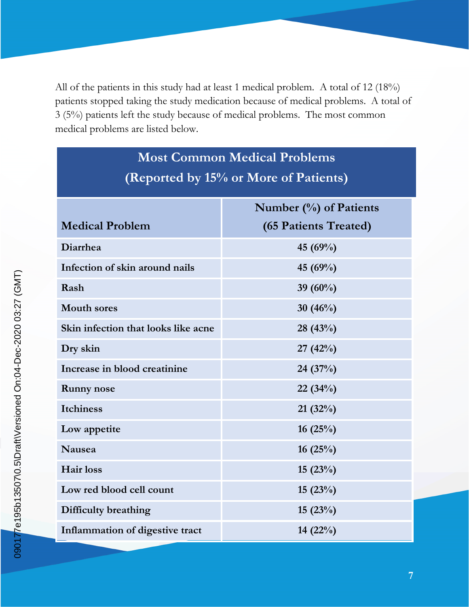All of the patients in this study had at least 1 medical problem. A total of 12 (18%) patients stopped taking the study medication because of medical problems. A total of 3 (5%) patients left the study because of medical problems. The most common medical problems are listed below.

| <b>Most Common Medical Problems</b>   |                           |  |  |
|---------------------------------------|---------------------------|--|--|
| (Reported by 15% or More of Patients) |                           |  |  |
|                                       | Number $(\%)$ of Patients |  |  |
| <b>Medical Problem</b>                | (65 Patients Treated)     |  |  |
| Diarrhea                              | 45 (69%)                  |  |  |
| Infection of skin around nails        | 45 (69%)                  |  |  |
| Rash                                  | 39 $(60\%)$               |  |  |
| <b>Mouth sores</b>                    | 30 $(46%)$                |  |  |
| Skin infection that looks like acne   | 28 (43%)                  |  |  |
| Dry skin                              | 27 $(42%)$                |  |  |
| Increase in blood creatinine          | 24(37%)                   |  |  |
| <b>Runny</b> nose                     | 22(34%)                   |  |  |
| <b>Itchiness</b>                      | 21(32%)                   |  |  |
| Low appetite                          | 16(25%)                   |  |  |
| <b>Nausea</b>                         | 16 $(25%)$                |  |  |
| Hair loss                             | 15(23%)                   |  |  |
| Low red blood cell count              | 15 $(23%)$                |  |  |
| Difficulty breathing                  | 15(23%)                   |  |  |
| Inflammation of digestive tract       | 14 $(22\%)$               |  |  |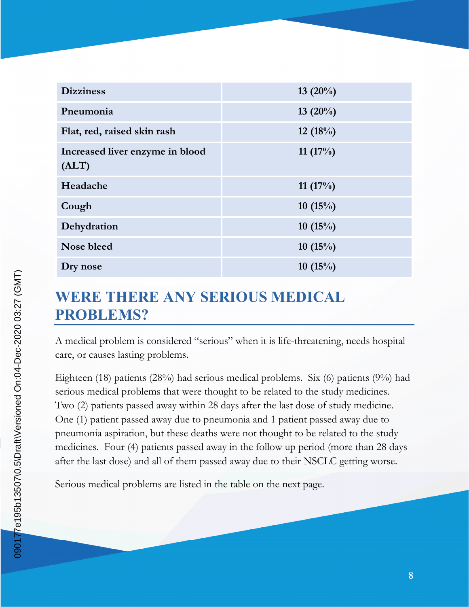| <b>Dizziness</b>                         | 13 $(20\%)$ |
|------------------------------------------|-------------|
| Pneumonia                                | $13(20\%)$  |
| Flat, red, raised skin rash              | 12 $(18%)$  |
| Increased liver enzyme in blood<br>(ALT) | 11 $(17%)$  |
| Headache                                 | 11 $(17%)$  |
| Cough                                    | 10 $(15\%)$ |
| Dehydration                              | 10 $(15\%)$ |
| Nose bleed                               | 10 $(15\%)$ |
| Dry nose                                 | 10(15%)     |

### **WERE THERE ANY SERIOUS MEDICAL PROBLEMS?**

A medical problem is considered "serious" when it is life-threatening, needs hospital care, or causes lasting problems.

Eighteen (18) patients (28%) had serious medical problems. Six (6) patients (9%) had serious medical problems that were thought to be related to the study medicines. Two (2) patients passed away within 28 days after the last dose of study medicine. One (1) patient passed away due to pneumonia and 1 patient passed away due to pneumonia aspiration, but these deaths were not thought to be related to the study medicines. Four (4) patients passed away in the follow up period (more than 28 days after the last dose) and all of them passed away due to their NSCLC getting worse.

Serious medical problems are listed in the table on the next page.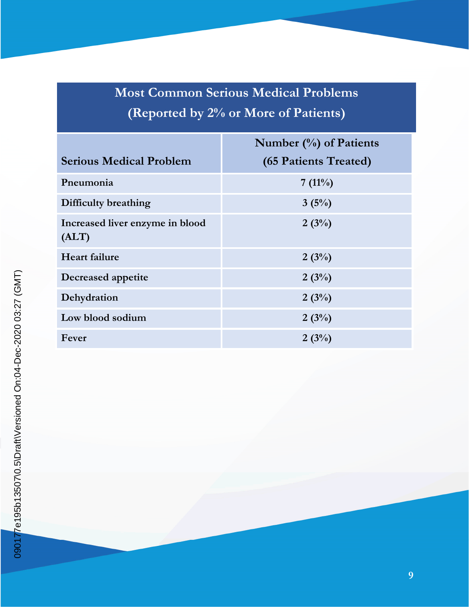# **Most Common Serious Medical Problems (Reported by 2% or More of Patients)**

|                                          | Number $(\%)$ of Patients |
|------------------------------------------|---------------------------|
| <b>Serious Medical Problem</b>           | (65 Patients Treated)     |
| Pneumonia                                | $7(11\%)$                 |
| Difficulty breathing                     | 3(5%)                     |
| Increased liver enzyme in blood<br>(ALT) | 2(3%)                     |
| <b>Heart failure</b>                     | 2(3%)                     |
| Decreased appetite                       | 2(3%)                     |
| Dehydration                              | 2(3%)                     |
| Low blood sodium                         | 2(3%)                     |
| Fever                                    | 2(3%)                     |